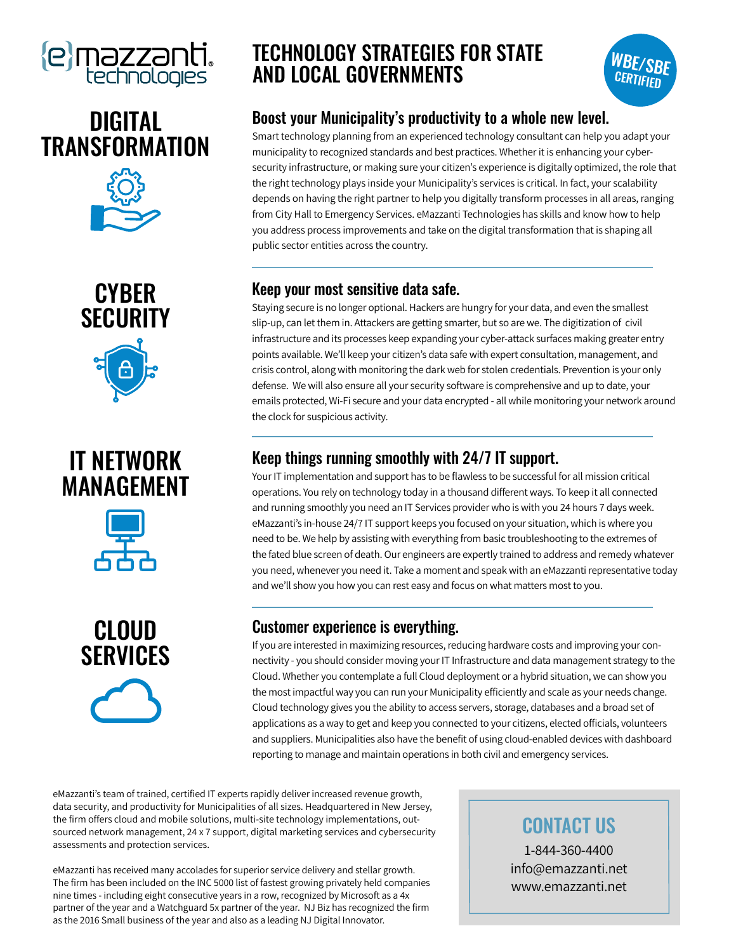











## TECHNOLOGY STRATEGIES FOR STATE AND LOCAL GOVERNMENTS



### Boost your Municipality's productivity to a whole new level.

Smart technology planning from an experienced technology consultant can help you adapt your municipality to recognized standards and best practices. Whether it is enhancing your cybersecurity infrastructure, or making sure your citizen's experience is digitally optimized, the role that the right technology plays inside your Municipality's services is critical. In fact, your scalability depends on having the right partner to help you digitally transform processes in all areas, ranging from City Hall to Emergency Services. eMazzanti Technologies has skills and know how to help you address process improvements and take on the digital transformation that is shaping all public sector entities across the country.

#### Keep your most sensitive data safe.

Staying secure is no longer optional. Hackers are hungry for your data, and even the smallest slip-up, can let them in. Attackers are getting smarter, but so are we. The digitization of civil infrastructure and its processes keep expanding your cyber-attack surfaces making greater entry points available. We'll keep your citizen's data safe with expert consultation, management, and crisis control, along with monitoring the dark web for stolen credentials. Prevention is your only defense. We will also ensure all your security software is comprehensive and up to date, your emails protected, Wi-Fi secure and your data encrypted - all while monitoring your network around the clock for suspicious activity.

### Keep things running smoothly with 24/7 IT support.

Your IT implementation and support has to be flawless to be successful for all mission critical operations. You rely on technology today in a thousand different ways. To keep it all connected and running smoothly you need an IT Services provider who is with you 24 hours 7 days week. eMazzanti's in-house 24/7 IT support keeps you focused on your situation, which is where you need to be. We help by assisting with everything from basic troubleshooting to the extremes of the fated blue screen of death. Our engineers are expertly trained to address and remedy whatever you need, whenever you need it. Take a moment and speak with an eMazzanti representative today and we'll show you how you can rest easy and focus on what matters most to you.

### Customer experience is everything.

If you are interested in maximizing resources, reducing hardware costs and improving your connectivity - you should consider moving your IT Infrastructure and data management strategy to the Cloud. Whether you contemplate a full Cloud deployment or a hybrid situation, we can show you the most impactful way you can run your Municipality efficiently and scale as your needs change. Cloud technology gives you the ability to access servers, storage, databases and a broad set of applications as a way to get and keep you connected to your citizens, elected officials, volunteers and suppliers. Municipalities also have the benefit of using cloud-enabled devices with dashboard reporting to manage and maintain operations in both civil and emergency services.

eMazzanti's team of trained, certified IT experts rapidly deliver increased revenue growth, data security, and productivity for Municipalities of all sizes. Headquartered in New Jersey, the firm offers cloud and mobile solutions, multi-site technology implementations, outsourced network management, 24 x 7 support, digital marketing services and cybersecurity assessments and protection services.

eMazzanti has received many accolades for superior service delivery and stellar growth. The firm has been included on the INC 5000 list of fastest growing privately held companies nine times - including eight consecutive years in a row, recognized by Microsoft as a 4x partner of the year and a Watchguard 5x partner of the year. NJ Biz has recognized the firm as the 2016 Small business of the year and also as a leading NJ Digital Innovator.

## CONTACT US

1-844-360-4400 info@emazzanti.net www.emazzanti.net